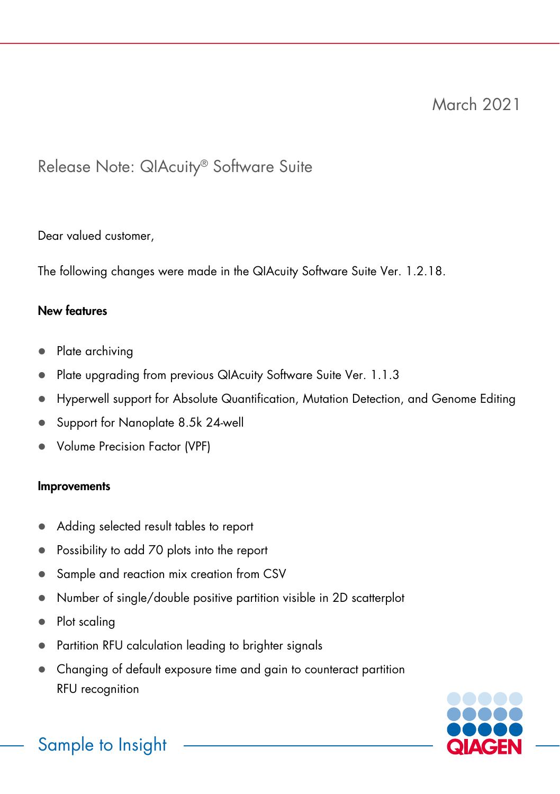## Release Note: QIAcuity® Software Suite

Dear valued customer,

The following changes were made in the QIAcuity Software Suite Ver. 1.2.18.

### New features

- Plate archivina
- Plate upgrading from previous QIAcuity Software Suite Ver. 1.1.3
- Hyperwell support for Absolute Quantification, Mutation Detection, and Genome Editing
- Support for Nanoplate 8.5k 24-well
- Volume Precision Factor (VPF)

#### Improvements

- Adding selected result tables to report
- Possibility to add 70 plots into the report
- Sample and reaction mix creation from CSV
- Number of single/double positive partition visible in 2D scatterplot
- Plot scaling
- Partition RFU calculation leading to brighter signals
- Changing of default exposure time and gain to counteract partition RFU recognition



# Sample to Insight